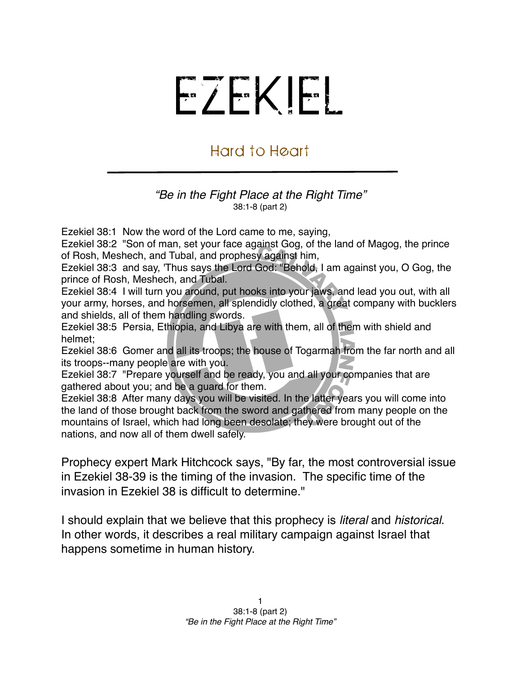## EZEKIEL

## Hard to Heart

## *"Be in the Fight Place at the Right Time"* 38:1-8 (part 2)

Ezekiel 38:1 Now the word of the Lord came to me, saying,

Ezekiel 38:2 "Son of man, set your face against Gog, of the land of Magog, the prince of Rosh, Meshech, and Tubal, and prophesy against him,

Ezekiel 38:3 and say, 'Thus says the Lord God: "Behold, I am against you, O Gog, the prince of Rosh, Meshech, and Tubal.

Ezekiel 38:4 I will turn you around, put hooks into your jaws, and lead you out, with all your army, horses, and horsemen, all splendidly clothed, a great company with bucklers and shields, all of them handling swords.

Ezekiel 38:5 Persia, Ethiopia, and Libya are with them, all of them with shield and helmet;

Ezekiel 38:6 Gomer and all its troops; the house of Togarmah from the far north and all its troops--many people are with you.

Ezekiel 38:7 "Prepare yourself and be ready, you and all your companies that are gathered about you; and be a guard for them.

Ezekiel 38:8 After many days you will be visited. In the latter years you will come into the land of those brought back from the sword and gathered from many people on the mountains of Israel, which had long been desolate; they were brought out of the nations, and now all of them dwell safely.

Prophecy expert Mark Hitchcock says, "By far, the most controversial issue in Ezekiel 38-39 is the timing of the invasion. The specific time of the invasion in Ezekiel 38 is difficult to determine."

I should explain that we believe that this prophecy is *literal* and *historical*. In other words, it describes a real military campaign against Israel that happens sometime in human history.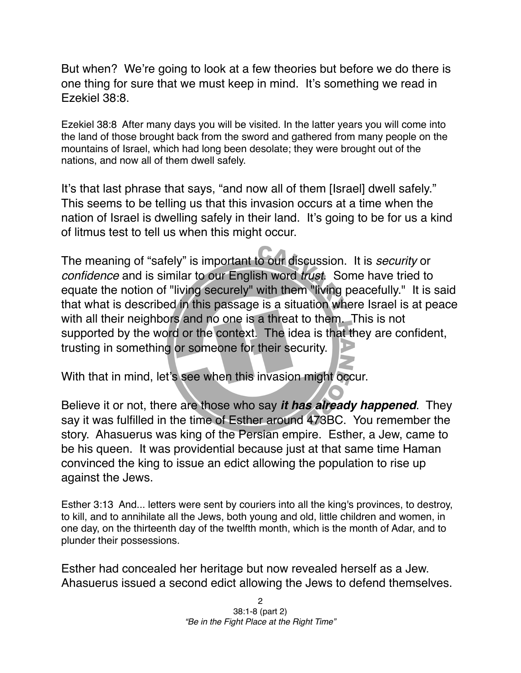But when? We're going to look at a few theories but before we do there is one thing for sure that we must keep in mind. It's something we read in Ezekiel 38:8.

Ezekiel 38:8 After many days you will be visited. In the latter years you will come into the land of those brought back from the sword and gathered from many people on the mountains of Israel, which had long been desolate; they were brought out of the nations, and now all of them dwell safely.

It's that last phrase that says, "and now all of them [Israel] dwell safely." This seems to be telling us that this invasion occurs at a time when the nation of Israel is dwelling safely in their land. It's going to be for us a kind of litmus test to tell us when this might occur.

The meaning of "safely" is important to our discussion. It is *security* or *confidence* and is similar to our English word *trust*. Some have tried to equate the notion of "living securely" with them "living peacefully." It is said that what is described in this passage is a situation where Israel is at peace with all their neighbors and no one is a threat to them. This is not supported by the word or the context. The idea is that they are confident, trusting in something or someone for their security.

With that in mind, let's see when this invasion might occur.

Believe it or not, there are those who say *it has already happened*. They say it was fulfilled in the time of Esther around 473BC. You remember the story. Ahasuerus was king of the Persian empire. Esther, a Jew, came to be his queen. It was providential because just at that same time Haman convinced the king to issue an edict allowing the population to rise up against the Jews.

Esther 3:13 And... letters were sent by couriers into all the king's provinces, to destroy, to kill, and to annihilate all the Jews, both young and old, little children and women, in one day, on the thirteenth day of the twelfth month, which is the month of Adar, and to plunder their possessions.

Esther had concealed her heritage but now revealed herself as a Jew. Ahasuerus issued a second edict allowing the Jews to defend themselves.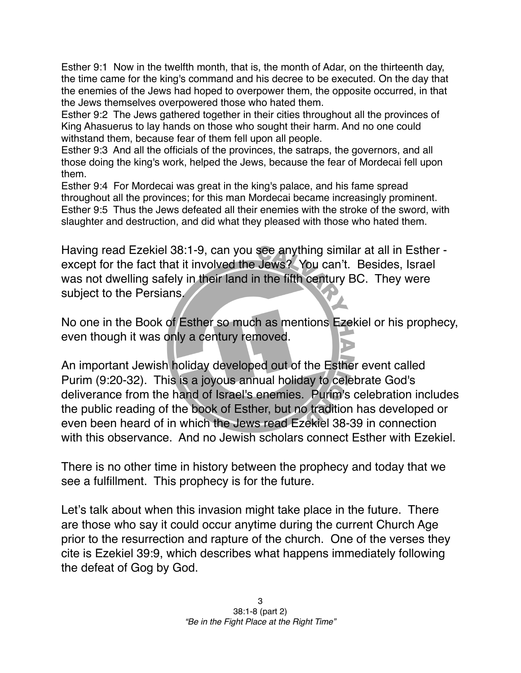Esther 9:1 Now in the twelfth month, that is, the month of Adar, on the thirteenth day, the time came for the king's command and his decree to be executed. On the day that the enemies of the Jews had hoped to overpower them, the opposite occurred, in that the Jews themselves overpowered those who hated them.

Esther 9:2 The Jews gathered together in their cities throughout all the provinces of King Ahasuerus to lay hands on those who sought their harm. And no one could withstand them, because fear of them fell upon all people.

Esther 9:3 And all the officials of the provinces, the satraps, the governors, and all those doing the king's work, helped the Jews, because the fear of Mordecai fell upon them.

Esther 9:4 For Mordecai was great in the king's palace, and his fame spread throughout all the provinces; for this man Mordecai became increasingly prominent. Esther 9:5 Thus the Jews defeated all their enemies with the stroke of the sword, with slaughter and destruction, and did what they pleased with those who hated them.

Having read Ezekiel 38:1-9, can you see anything similar at all in Esther except for the fact that it involved the Jews? You can't. Besides, Israel was not dwelling safely in their land in the fifth century BC. They were subject to the Persians.

No one in the Book of Esther so much as mentions Ezekiel or his prophecy, even though it was only a century removed.

An important Jewish holiday developed out of the Esther event called Purim (9:20-32). This is a joyous annual holiday to celebrate God's deliverance from the hand of Israel's enemies. Purim's celebration includes the public reading of the book of Esther, but no tradition has developed or even been heard of in which the Jews read Ezekiel 38-39 in connection with this observance. And no Jewish scholars connect Esther with Ezekiel.

There is no other time in history between the prophecy and today that we see a fulfillment. This prophecy is for the future.

Let's talk about when this invasion might take place in the future. There are those who say it could occur anytime during the current Church Age prior to the resurrection and rapture of the church. One of the verses they cite is Ezekiel 39:9, which describes what happens immediately following the defeat of Gog by God.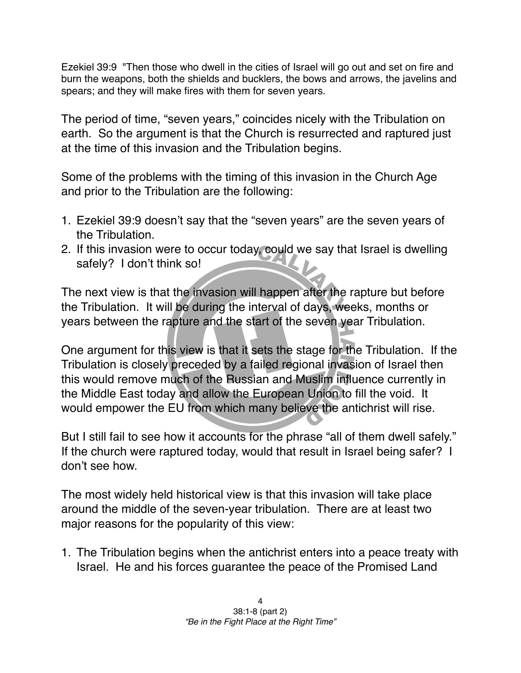Ezekiel 39:9 "Then those who dwell in the cities of Israel will go out and set on fire and burn the weapons, both the shields and bucklers, the bows and arrows, the javelins and spears; and they will make fires with them for seven years.

The period of time, "seven years," coincides nicely with the Tribulation on earth. So the argument is that the Church is resurrected and raptured just at the time of this invasion and the Tribulation begins.

Some of the problems with the timing of this invasion in the Church Age and prior to the Tribulation are the following:

- 1. Ezekiel 39:9 doesn't say that the "seven years" are the seven years of the Tribulation.
- 2. If this invasion were to occur today, could we say that Israel is dwelling safely? I don't think so!

The next view is that the invasion will happen after the rapture but before the Tribulation. It will be during the interval of days, weeks, months or years between the rapture and the start of the seven year Tribulation.

One argument for this view is that it sets the stage for the Tribulation. If the Tribulation is closely preceded by a failed regional invasion of Israel then this would remove much of the Russian and Muslim influence currently in the Middle East today and allow the European Union to fill the void. It would empower the EU from which many believe the antichrist will rise.

But I still fail to see how it accounts for the phrase "all of them dwell safely." If the church were raptured today, would that result in Israel being safer? I don't see how.

The most widely held historical view is that this invasion will take place around the middle of the seven-year tribulation. There are at least two major reasons for the popularity of this view:

1. The Tribulation begins when the antichrist enters into a peace treaty with Israel. He and his forces guarantee the peace of the Promised Land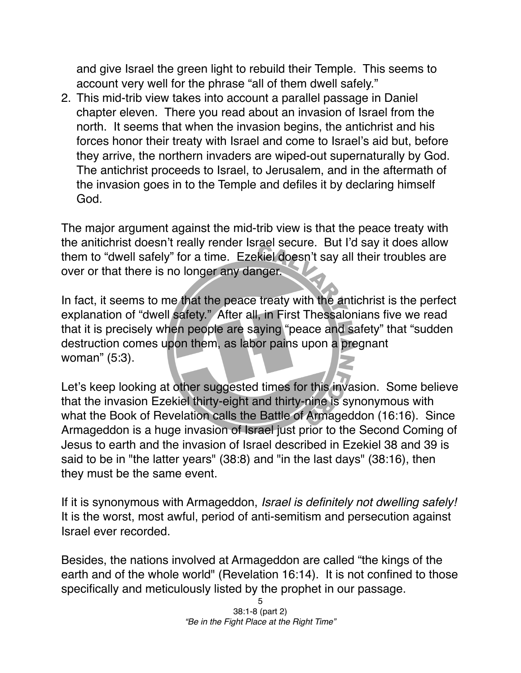and give Israel the green light to rebuild their Temple. This seems to account very well for the phrase "all of them dwell safely."

2. This mid-trib view takes into account a parallel passage in Daniel chapter eleven. There you read about an invasion of Israel from the north. It seems that when the invasion begins, the antichrist and his forces honor their treaty with Israel and come to Israel's aid but, before they arrive, the northern invaders are wiped-out supernaturally by God. The antichrist proceeds to Israel, to Jerusalem, and in the aftermath of the invasion goes in to the Temple and defiles it by declaring himself God.

The major argument against the mid-trib view is that the peace treaty with the anitichrist doesn't really render Israel secure. But I'd say it does allow them to "dwell safely" for a time. Ezekiel doesn't say all their troubles are over or that there is no longer any danger.

In fact, it seems to me that the peace treaty with the antichrist is the perfect explanation of "dwell safety." After all, in First Thessalonians five we read that it is precisely when people are saying "peace and safety" that "sudden destruction comes upon them, as labor pains upon a pregnant woman" (5:3).

Let's keep looking at other suggested times for this invasion. Some believe that the invasion Ezekiel thirty-eight and thirty-nine is synonymous with what the Book of Revelation calls the Battle of Armageddon (16:16). Since Armageddon is a huge invasion of Israel just prior to the Second Coming of Jesus to earth and the invasion of Israel described in Ezekiel 38 and 39 is said to be in "the latter years" (38:8) and "in the last days" (38:16), then they must be the same event.

If it is synonymous with Armageddon, *Israel is definitely not dwelling safely!* It is the worst, most awful, period of anti-semitism and persecution against Israel ever recorded.

Besides, the nations involved at Armageddon are called "the kings of the earth and of the whole world" (Revelation 16:14). It is not confined to those specifically and meticulously listed by the prophet in our passage.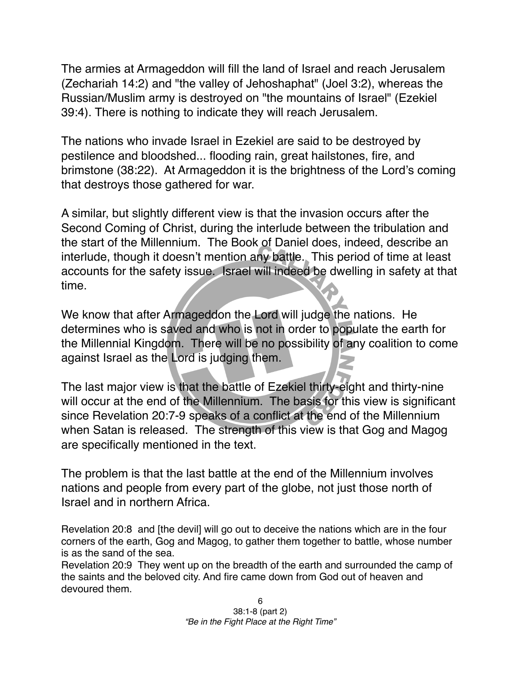The armies at Armageddon will fill the land of Israel and reach Jerusalem (Zechariah 14:2) and "the valley of Jehoshaphat" (Joel 3:2), whereas the Russian/Muslim army is destroyed on "the mountains of Israel" (Ezekiel 39:4). There is nothing to indicate they will reach Jerusalem.

The nations who invade Israel in Ezekiel are said to be destroyed by pestilence and bloodshed... flooding rain, great hailstones, fire, and brimstone (38:22). At Armageddon it is the brightness of the Lord's coming that destroys those gathered for war.

A similar, but slightly different view is that the invasion occurs after the Second Coming of Christ, during the interlude between the tribulation and the start of the Millennium. The Book of Daniel does, indeed, describe an interlude, though it doesn't mention any battle. This period of time at least accounts for the safety issue. Israel will indeed be dwelling in safety at that time.

We know that after Armageddon the Lord will judge the nations. He determines who is saved and who is not in order to populate the earth for the Millennial Kingdom. There will be no possibility of any coalition to come against Israel as the Lord is judging them.

The last major view is that the battle of Ezekiel thirty-eight and thirty-nine will occur at the end of the Millennium. The basis for this view is significant since Revelation 20:7-9 speaks of a conflict at the end of the Millennium when Satan is released. The strength of this view is that Gog and Magog are specifically mentioned in the text.

The problem is that the last battle at the end of the Millennium involves nations and people from every part of the globe, not just those north of Israel and in northern Africa.

Revelation 20:8 and [the devil] will go out to deceive the nations which are in the four corners of the earth, Gog and Magog, to gather them together to battle, whose number is as the sand of the sea.

Revelation 20:9 They went up on the breadth of the earth and surrounded the camp of the saints and the beloved city. And fire came down from God out of heaven and devoured them.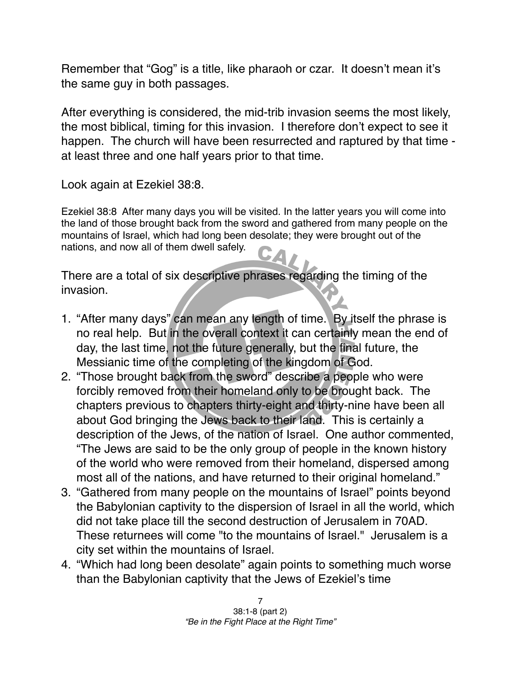Remember that "Gog" is a title, like pharaoh or czar. It doesn't mean it's the same guy in both passages.

After everything is considered, the mid-trib invasion seems the most likely, the most biblical, timing for this invasion. I therefore don't expect to see it happen. The church will have been resurrected and raptured by that time at least three and one half years prior to that time.

Look again at Ezekiel 38:8.

Ezekiel 38:8 After many days you will be visited. In the latter years you will come into the land of those brought back from the sword and gathered from many people on the mountains of Israel, which had long been desolate; they were brought out of the nations, and now all of them dwell safely.

There are a total of six descriptive phrases regarding the timing of the invasion.

- 1. "After many days" can mean any length of time. By itself the phrase is no real help. But in the overall context it can certainly mean the end of day, the last time, not the future generally, but the final future, the Messianic time of the completing of the kingdom of God.
- 2. "Those brought back from the sword" describe a people who were forcibly removed from their homeland only to be brought back. The chapters previous to chapters thirty-eight and thirty-nine have been all about God bringing the Jews back to their land. This is certainly a description of the Jews, of the nation of Israel. One author commented, "The Jews are said to be the only group of people in the known history of the world who were removed from their homeland, dispersed among most all of the nations, and have returned to their original homeland."
- 3. "Gathered from many people on the mountains of Israel" points beyond the Babylonian captivity to the dispersion of Israel in all the world, which did not take place till the second destruction of Jerusalem in 70AD. These returnees will come "to the mountains of Israel." Jerusalem is a city set within the mountains of Israel.
- 4. "Which had long been desolate" again points to something much worse than the Babylonian captivity that the Jews of Ezekiel's time